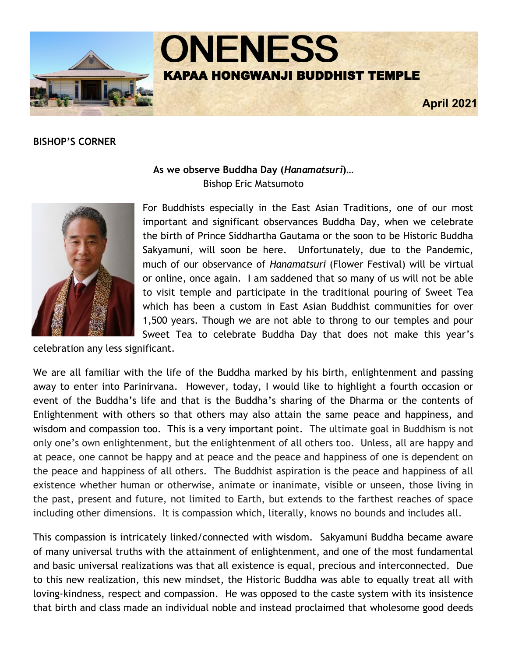

## **BISHOP'S CORNER**



# **As we observe Buddha Day (***Hanamatsuri***)…** Bishop Eric Matsumoto

For Buddhists especially in the East Asian Traditions, one of our most important and significant observances Buddha Day, when we celebrate the birth of Prince Siddhartha Gautama or the soon to be Historic Buddha Sakyamuni, will soon be here. Unfortunately, due to the Pandemic, much of our observance of *Hanamatsuri* (Flower Festival) will be virtual or online, once again. I am saddened that so many of us will not be able to visit temple and participate in the traditional pouring of Sweet Tea which has been a custom in East Asian Buddhist communities for over 1,500 years. Though we are not able to throng to our temples and pour Sweet Tea to celebrate Buddha Day that does not make this year's

celebration any less significant.

We are all familiar with the life of the Buddha marked by his birth, enlightenment and passing away to enter into Parinirvana. However, today, I would like to highlight a fourth occasion or event of the Buddha's life and that is the Buddha's sharing of the Dharma or the contents of Enlightenment with others so that others may also attain the same peace and happiness, and wisdom and compassion too. This is a very important point. The ultimate goal in Buddhism is not only one's own enlightenment, but the enlightenment of all others too. Unless, all are happy and at peace, one cannot be happy and at peace and the peace and happiness of one is dependent on the peace and happiness of all others. The Buddhist aspiration is the peace and happiness of all existence whether human or otherwise, animate or inanimate, visible or unseen, those living in the past, present and future, not limited to Earth, but extends to the farthest reaches of space including other dimensions. It is compassion which, literally, knows no bounds and includes all.

This compassion is intricately linked/connected with wisdom. Sakyamuni Buddha became aware of many universal truths with the attainment of enlightenment, and one of the most fundamental and basic universal realizations was that all existence is equal, precious and interconnected. Due to this new realization, this new mindset, the Historic Buddha was able to equally treat all with loving-kindness, respect and compassion. He was opposed to the caste system with its insistence that birth and class made an individual noble and instead proclaimed that wholesome good deeds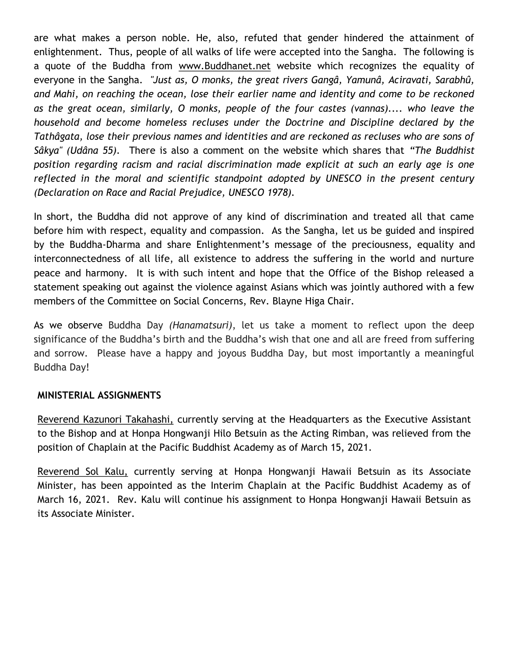are what makes a person noble. He, also, refuted that gender hindered the attainment of enlightenment. Thus, people of all walks of life were accepted into the Sangha. The following is a quote of the Buddha from [www.Buddhanet.net](http://www.Buddhanet.net) website which recognizes the equality of everyone in the Sangha. *"Just as, O monks, the great rivers Gangâ, Yamunâ, Aciravati, Sarabhû, and Mahi, on reaching the ocean, lose their earlier name and identity and come to be reckoned as the great ocean, similarly, O monks, people of the four castes (vannas).... who leave the household and become homeless recluses under the Doctrine and Discipline declared by the Tathâgata, lose their previous names and identities and are reckoned as recluses who are sons of Sâkya" (Udâna 55).* There is also a comment on the website which shares that *"The Buddhist position regarding racism and racial discrimination made explicit at such an early age is one reflected in the moral and scientific standpoint adopted by UNESCO in the present century (Declaration on Race and Racial Prejudice, UNESCO 1978).*

In short, the Buddha did not approve of any kind of discrimination and treated all that came before him with respect, equality and compassion. As the Sangha, let us be guided and inspired by the Buddha-Dharma and share Enlightenment's message of the preciousness, equality and interconnectedness of all life, all existence to address the suffering in the world and nurture peace and harmony. It is with such intent and hope that the Office of the Bishop released a statement speaking out against the violence against Asians which was jointly authored with a few members of the Committee on Social Concerns, Rev. Blayne Higa Chair.

As we observe Buddha Day *(Hanamatsuri)*, let us take a moment to reflect upon the deep significance of the Buddha's birth and the Buddha's wish that one and all are freed from suffering and sorrow. Please have a happy and joyous Buddha Day, but most importantly a meaningful Buddha Day!

## **MINISTERIAL ASSIGNMENTS**

Reverend Kazunori Takahashi, currently serving at the Headquarters as the Executive Assistant to the Bishop and at Honpa Hongwanji Hilo Betsuin as the Acting Rimban, was relieved from the position of Chaplain at the Pacific Buddhist Academy as of March 15, 2021.

Reverend Sol Kalu, currently serving at Honpa Hongwanji Hawaii Betsuin as its Associate Minister, has been appointed as the Interim Chaplain at the Pacific Buddhist Academy as of March 16, 2021. Rev. Kalu will continue his assignment to Honpa Hongwanji Hawaii Betsuin as its Associate Minister.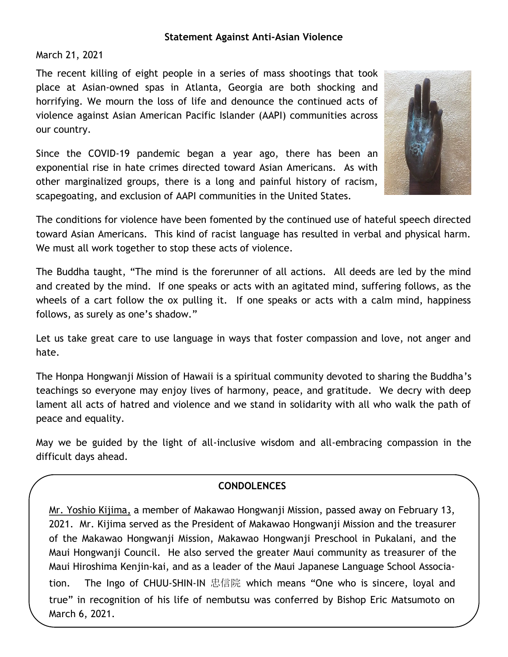### **Statement Against Anti-Asian Violence**

March 21, 2021

The recent killing of eight people in a series of mass shootings that took place at Asian-owned spas in Atlanta, Georgia are both shocking and horrifying. We mourn the loss of life and denounce the continued acts of violence against Asian American Pacific Islander (AAPI) communities across our country.

Since the COVID-19 pandemic began a year ago, there has been an exponential rise in hate crimes directed toward Asian Americans. As with other marginalized groups, there is a long and painful history of racism, scapegoating, and exclusion of AAPI communities in the United States.



The conditions for violence have been fomented by the continued use of hateful speech directed toward Asian Americans. This kind of racist language has resulted in verbal and physical harm. We must all work together to stop these acts of violence.

The Buddha taught, "The mind is the forerunner of all actions. All deeds are led by the mind and created by the mind. If one speaks or acts with an agitated mind, suffering follows, as the wheels of a cart follow the ox pulling it. If one speaks or acts with a calm mind, happiness follows, as surely as one's shadow."

Let us take great care to use language in ways that foster compassion and love, not anger and hate.

The Honpa Hongwanji Mission of Hawaii is a spiritual community devoted to sharing the Buddha's teachings so everyone may enjoy lives of harmony, peace, and gratitude. We decry with deep lament all acts of hatred and violence and we stand in solidarity with all who walk the path of peace and equality.

May we be guided by the light of all-inclusive wisdom and all-embracing compassion in the difficult days ahead.

## **CONDOLENCES**

Mr. Yoshio Kijima, a member of Makawao Hongwanji Mission, passed away on February 13, 2021. Mr. Kijima served as the President of Makawao Hongwanji Mission and the treasurer of the Makawao Hongwanji Mission, Makawao Hongwanji Preschool in Pukalani, and the Maui Hongwanji Council. He also served the greater Maui community as treasurer of the Maui Hiroshima Kenjin-kai, and as a leader of the Maui Japanese Language School Association. The Ingo of CHUU-SHIN-IN 忠信院 which means "One who is sincere, loyal and true" in recognition of his life of nembutsu was conferred by Bishop Eric Matsumoto on March 6, 2021.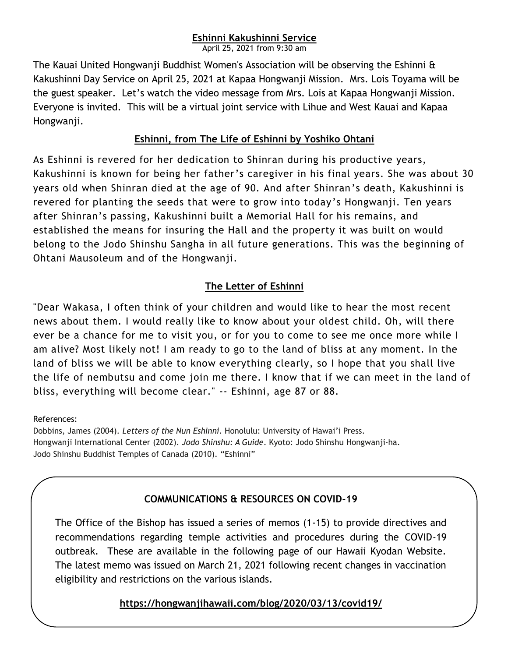# **Eshinni Kakushinni Service**

April 25, 2021 from 9:30 am

The Kauai United Hongwanji Buddhist Women's Association will be observing the Eshinni & Kakushinni Day Service on April 25, 2021 at Kapaa Hongwanji Mission. Mrs. Lois Toyama will be the guest speaker. Let's watch the video message from Mrs. Lois at Kapaa Hongwanji Mission. Everyone is invited. This will be a virtual joint service with Lihue and West Kauai and Kapaa Hongwanji.

## **Eshinni, from The Life of Eshinni by Yoshiko Ohtani**

As Eshinni is revered for her dedication to Shinran during his productive years, Kakushinni is known for being her father's caregiver in his final years. She was about 30 years old when Shinran died at the age of 90. And after Shinran's death, Kakushinni is revered for planting the seeds that were to grow into today's Hongwanji. Ten years after Shinran's passing, Kakushinni built a Memorial Hall for his remains, and established the means for insuring the Hall and the property it was built on would belong to the Jodo Shinshu Sangha in all future generations. This was the beginning of Ohtani Mausoleum and of the Hongwanji.

# **The Letter of Eshinni**

"Dear Wakasa, I often think of your children and would like to hear the most recent news about them. I would really like to know about your oldest child. Oh, will there ever be a chance for me to visit you, or for you to come to see me once more while I am alive? Most likely not! I am ready to go to the land of bliss at any moment. In the land of bliss we will be able to know everything clearly, so I hope that you shall live the life of nembutsu and come join me there. I know that if we can meet in the land of bliss, everything will become clear." -- Eshinni, age 87 or 88.

## References:

Dobbins, James (2004). *Letters of the Nun Eshinni*. Honolulu: University of Hawai'i Press. Hongwanji International Center (2002). *Jodo Shinshu: A Guide*. Kyoto: Jodo Shinshu Hongwanji-ha. Jodo Shinshu Buddhist Temples of Canada (2010). "Eshinni"

## **COMMUNICATIONS & RESOURCES ON COVID-19**

The Office of the Bishop has issued a series of memos (1-15) to provide directives and recommendations regarding temple activities and procedures during the COVID-19 outbreak. These are available in the following page of our Hawaii Kyodan Website. The latest memo was issued on March 21, 2021 following recent changes in vaccination eligibility and restrictions on the various islands.

**<https://hongwanjihawaii.com/blog/2020/03/13/covid19/>**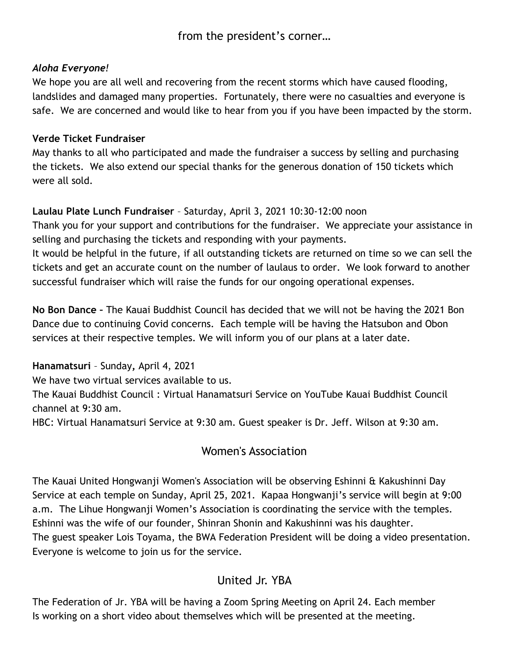from the president's corner…

# *Aloha Everyone!*

We hope you are all well and recovering from the recent storms which have caused flooding, landslides and damaged many properties. Fortunately, there were no casualties and everyone is safe. We are concerned and would like to hear from you if you have been impacted by the storm.

## **Verde Ticket Fundraiser**

May thanks to all who participated and made the fundraiser a success by selling and purchasing the tickets. We also extend our special thanks for the generous donation of 150 tickets which were all sold.

# **Laulau Plate Lunch Fundraiser** – Saturday, April 3, 2021 10:30-12:00 noon

Thank you for your support and contributions for the fundraiser. We appreciate your assistance in selling and purchasing the tickets and responding with your payments.

It would be helpful in the future, if all outstanding tickets are returned on time so we can sell the tickets and get an accurate count on the number of laulaus to order. We look forward to another successful fundraiser which will raise the funds for our ongoing operational expenses.

**No Bon Dance –** The Kauai Buddhist Council has decided that we will not be having the 2021 Bon Dance due to continuing Covid concerns. Each temple will be having the Hatsubon and Obon services at their respective temples. We will inform you of our plans at a later date.

**Hanamatsuri** – Sunday**,** April 4, 2021

We have two virtual services available to us.

The Kauai Buddhist Council : Virtual Hanamatsuri Service on YouTube Kauai Buddhist Council channel at 9:30 am.

HBC: Virtual Hanamatsuri Service at 9:30 am. Guest speaker is Dr. Jeff. Wilson at 9:30 am.

# Women's Association

The Kauai United Hongwanji Women's Association will be observing Eshinni & Kakushinni Day Service at each temple on Sunday, April 25, 2021. Kapaa Hongwanji's service will begin at 9:00 a.m. The Lihue Hongwanji Women's Association is coordinating the service with the temples. Eshinni was the wife of our founder, Shinran Shonin and Kakushinni was his daughter. The guest speaker Lois Toyama, the BWA Federation President will be doing a video presentation. Everyone is welcome to join us for the service.

# United Jr. YBA

The Federation of Jr. YBA will be having a Zoom Spring Meeting on April 24. Each member Is working on a short video about themselves which will be presented at the meeting.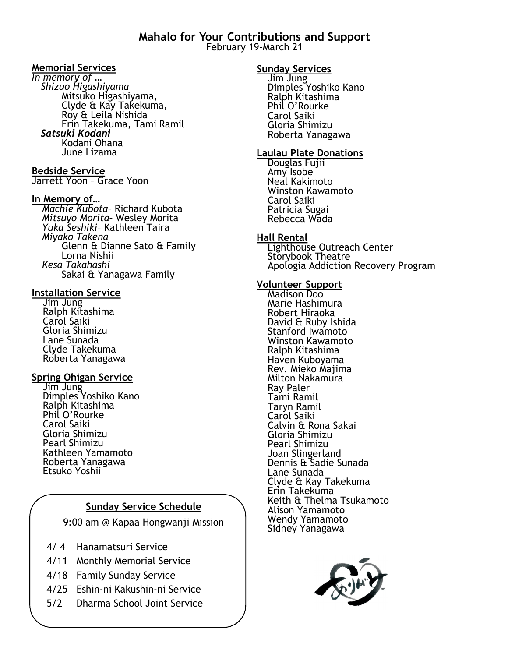**Mahalo for Your Contributions and Support** February 19-March 21

#### **Memorial Services**

*In memory of … Shizuo Higashiyama* Mitsuko Higashiyama, Clyde & Kay Takekuma, Roy & Leila Nishida Erin Takekuma, Tami Ramil  *Satsuki Kodani* Kodani Ohana June Lizama

#### **Bedside Service**

Jarrett Yoon – Grace Yoon

#### **In Memory of…**

*Machie Kubota*– Richard Kubota *Mitsuyo Morita–* Wesley Morita *Yuka Seshiki*– Kathleen Taira *Miyako Takena* Glenn & Dianne Sato & Family Lorna Nishii *Kesa Takahashi* Sakai & Yanagawa Family

#### **Installation Service**

Jim Jung Ralph Kitashima Carol Saiki Gloria Shimizu Lane Sunada Clyde Takekuma Roberta Yanagawa

#### **Spring Ohigan Service**

Jim Jung Dimples Yoshiko Kano Ralph Kitashima Phil O'Rourke Carol Saiki Gloria Shimizu Pearl Shimizu Kathleen Yamamoto Roberta Yanagawa Etsuko Yoshii

#### **Sunday Service Schedule**

9:00 am @ Kapaa Hongwanji Mission

- 4/ 4 Hanamatsuri Service
- 4/11 Monthly Memorial Service
- 4/18 Family Sunday Service
- 4/25 Eshin-ni Kakushin-ni Service
- 5/2 Dharma School Joint Service

#### **Sunday Services**

Jim Jung Dimples Yoshiko Kano Ralph Kitashima Phil O'Rourke Carol Saiki Gloria Shimizu Roberta Yanagawa

#### **Laulau Plate Donations**

Douglas Fujii Amy Isobe Neal Kakimoto Winston Kawamoto Carol Saiki Patricia Sugai Rebecca Wada

#### **Hall Rental**

Lighthouse Outreach Center Storybook Theatre Apologia Addiction Recovery Program

#### **Volunteer Support**

Madison Doo Marie Hashimura Robert Hiraoka David & Ruby Ishida Stanford Iwamoto Winston Kawamoto Ralph Kitashima Haven Kuboyama Rev. Mieko Majima Milton Nakamura Ray Paler Tami Ramil Taryn Ramil Carol Saiki Calvin & Rona Sakai Gloria Shimizu Pearl Shimizu Joan Slingerland Dennis & Sadie Sunada Lane Sunada Clyde & Kay Takekuma Erin Takekuma Keith & Thelma Tsukamoto Alison Yamamoto Wendy Yamamoto Sidney Yanagawa

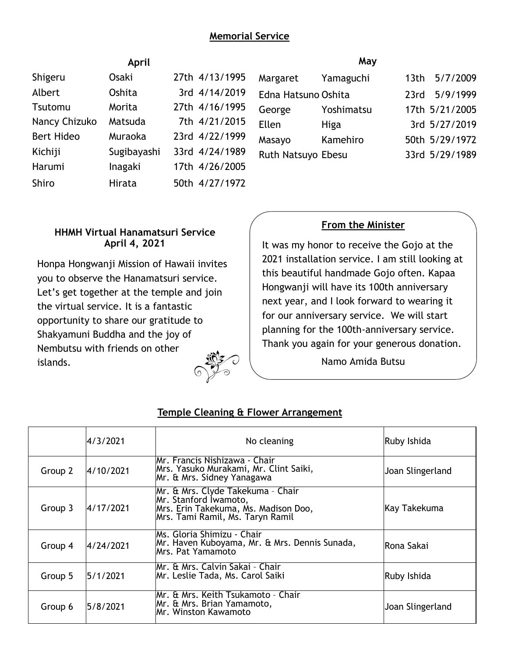# **Memorial Service**

| April             |             |                | May                 |            |                  |
|-------------------|-------------|----------------|---------------------|------------|------------------|
| Shigeru           | Osaki       | 27th 4/13/1995 | Margaret            | Yamaguchi  | 5/7/2009<br>13th |
| Albert            | Oshita      | 3rd 4/14/2019  | Edna Hatsuno Oshita |            | 5/9/1999<br>23rd |
| Tsutomu           | Morita      | 27th 4/16/1995 | George              | Yoshimatsu | 17th 5/21/2005   |
| Nancy Chizuko     | Matsuda     | 7th 4/21/2015  | Ellen               | Higa       | 3rd 5/27/2019    |
| <b>Bert Hideo</b> | Muraoka     | 23rd 4/22/1999 | Masayo              | Kamehiro   | 50th 5/29/1972   |
| Kichiji           | Sugibayashi | 33rd 4/24/1989 | Ruth Natsuyo Ebesu  |            | 33rd 5/29/1989   |
| Harumi            | Inagaki     | 17th 4/26/2005 |                     |            |                  |
| Shiro             | Hirata      | 50th 4/27/1972 |                     |            |                  |

## **HHMH Virtual Hanamatsuri Service April 4, 2021**

Honpa Hongwanji Mission of Hawaii invites you to observe the Hanamatsuri service. Let's get together at the temple and join the virtual service. It is a fantastic opportunity to share our gratitude to Shakyamuni Buddha and the joy of Nembutsu with friends on other islands.

# **From the Minister**

It was my honor to receive the Gojo at the 2021 installation service. I am still looking at this beautiful handmade Gojo often. Kapaa Hongwanji will have its 100th anniversary next year, and I look forward to wearing it for our anniversary service. We will start planning for the 100th-anniversary service. Thank you again for your generous donation.

Namo Amida Butsu

|         | 4/3/2021  | No cleaning                                                                                                                            | Ruby Ishida      |
|---------|-----------|----------------------------------------------------------------------------------------------------------------------------------------|------------------|
| Group 2 | 4/10/2021 | IMr. Francis Nishizawa - Chair<br>Mrs. Yasuko Murakami, Mr. Clint Saiki,<br>Mr. & Mrs. Sidney Yanagawa                                 | Joan Slingerland |
| Group 3 | 4/17/2021 | Mr. & Mrs. Clyde Takekuma - Chair<br>Mr. Stanford Iwamoto,<br>Mrs. Erin Takekuma, Ms. Madison Doo,<br>Mrs. Tami Ramil, Ms. Taryn Ramil | Kay Takekuma     |
| Group 4 | 4/24/2021 | IMs. Gloria Shimizu - Chair<br>Mr. Haven Kuboyama, Mr. & Mrs. Dennis Sunada,<br>Mrs. Pat Yamamoto                                      | lRona Sakai      |
| Group 5 | 5/1/2021  | Mr. & Mrs. Calvin Sakai - Chair<br>Mr. Leslie Tada, Ms. Carol Saiki                                                                    | Ruby Ishida      |
| Group 6 | 5/8/2021  | Mr. & Mrs. Keith Tsukamoto - Chair<br>Mr. & Mrs. Brian Yamamoto,<br>Mr. Winston Kawamoto                                               | Joan Slingerland |

## **Temple Cleaning & Flower Arrangement**